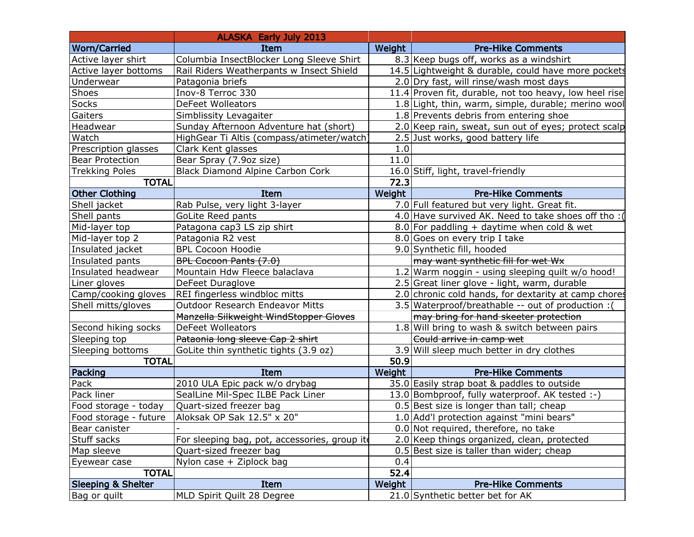| <b>Worn/Carried</b><br>Weight<br>Item<br><b>Pre-Hike Comments</b><br>Active layer shirt<br>Columbia InsectBlocker Long Sleeve Shirt<br>8.3 Keep bugs off, works as a windshirt<br>14.5 Lightweight & durable, could have more pockets<br>Active layer bottoms<br>Rail Riders Weatherpants w Insect Shield<br>Underwear<br>Patagonia briefs<br>2.0 Dry fast, will rinse/wash most days<br>Shoes<br>Inov-8 Terroc 330<br>11.4 Proven fit, durable, not too heavy, low heel rise<br>Socks<br><b>DeFeet Wolleators</b><br>1.8 Light, thin, warm, simple, durable; merino wool<br>Gaiters<br>1.8 Prevents debris from entering shoe<br>Simblissity Levagaiter<br>Headwear<br>Sunday Afternoon Adventure hat (short)<br>2.0 Keep rain, sweat, sun out of eyes; protect scalp<br>Watch<br>HighGear Ti Altis (compass/atimeter/watch)<br>2.5 Just works, good battery life<br>Clark Kent glasses<br>1.0<br>Prescription glasses<br>11.0<br><b>Bear Protection</b><br>Bear Spray (7.9oz size)<br><b>Trekking Poles</b><br><b>Black Diamond Alpine Carbon Cork</b><br>16.0 Stiff, light, travel-friendly<br><b>TOTAL</b><br>72.3<br><b>Other Clothing</b><br>Item<br>Weight<br><b>Pre-Hike Comments</b><br>7.0 Full featured but very light. Great fit.<br>Rab Pulse, very light 3-layer<br>Shell jacket<br>Shell pants<br>4.0 Have survived AK. Need to take shoes off tho :<br>GoLite Reed pants<br>Mid-layer top<br>8.0 For paddling + daytime when cold & wet<br>Patagona cap3 LS zip shirt |
|---------------------------------------------------------------------------------------------------------------------------------------------------------------------------------------------------------------------------------------------------------------------------------------------------------------------------------------------------------------------------------------------------------------------------------------------------------------------------------------------------------------------------------------------------------------------------------------------------------------------------------------------------------------------------------------------------------------------------------------------------------------------------------------------------------------------------------------------------------------------------------------------------------------------------------------------------------------------------------------------------------------------------------------------------------------------------------------------------------------------------------------------------------------------------------------------------------------------------------------------------------------------------------------------------------------------------------------------------------------------------------------------------------------------------------------------------------------------------------------|
|                                                                                                                                                                                                                                                                                                                                                                                                                                                                                                                                                                                                                                                                                                                                                                                                                                                                                                                                                                                                                                                                                                                                                                                                                                                                                                                                                                                                                                                                                       |
|                                                                                                                                                                                                                                                                                                                                                                                                                                                                                                                                                                                                                                                                                                                                                                                                                                                                                                                                                                                                                                                                                                                                                                                                                                                                                                                                                                                                                                                                                       |
|                                                                                                                                                                                                                                                                                                                                                                                                                                                                                                                                                                                                                                                                                                                                                                                                                                                                                                                                                                                                                                                                                                                                                                                                                                                                                                                                                                                                                                                                                       |
|                                                                                                                                                                                                                                                                                                                                                                                                                                                                                                                                                                                                                                                                                                                                                                                                                                                                                                                                                                                                                                                                                                                                                                                                                                                                                                                                                                                                                                                                                       |
|                                                                                                                                                                                                                                                                                                                                                                                                                                                                                                                                                                                                                                                                                                                                                                                                                                                                                                                                                                                                                                                                                                                                                                                                                                                                                                                                                                                                                                                                                       |
|                                                                                                                                                                                                                                                                                                                                                                                                                                                                                                                                                                                                                                                                                                                                                                                                                                                                                                                                                                                                                                                                                                                                                                                                                                                                                                                                                                                                                                                                                       |
|                                                                                                                                                                                                                                                                                                                                                                                                                                                                                                                                                                                                                                                                                                                                                                                                                                                                                                                                                                                                                                                                                                                                                                                                                                                                                                                                                                                                                                                                                       |
|                                                                                                                                                                                                                                                                                                                                                                                                                                                                                                                                                                                                                                                                                                                                                                                                                                                                                                                                                                                                                                                                                                                                                                                                                                                                                                                                                                                                                                                                                       |
|                                                                                                                                                                                                                                                                                                                                                                                                                                                                                                                                                                                                                                                                                                                                                                                                                                                                                                                                                                                                                                                                                                                                                                                                                                                                                                                                                                                                                                                                                       |
|                                                                                                                                                                                                                                                                                                                                                                                                                                                                                                                                                                                                                                                                                                                                                                                                                                                                                                                                                                                                                                                                                                                                                                                                                                                                                                                                                                                                                                                                                       |
|                                                                                                                                                                                                                                                                                                                                                                                                                                                                                                                                                                                                                                                                                                                                                                                                                                                                                                                                                                                                                                                                                                                                                                                                                                                                                                                                                                                                                                                                                       |
|                                                                                                                                                                                                                                                                                                                                                                                                                                                                                                                                                                                                                                                                                                                                                                                                                                                                                                                                                                                                                                                                                                                                                                                                                                                                                                                                                                                                                                                                                       |
|                                                                                                                                                                                                                                                                                                                                                                                                                                                                                                                                                                                                                                                                                                                                                                                                                                                                                                                                                                                                                                                                                                                                                                                                                                                                                                                                                                                                                                                                                       |
|                                                                                                                                                                                                                                                                                                                                                                                                                                                                                                                                                                                                                                                                                                                                                                                                                                                                                                                                                                                                                                                                                                                                                                                                                                                                                                                                                                                                                                                                                       |
|                                                                                                                                                                                                                                                                                                                                                                                                                                                                                                                                                                                                                                                                                                                                                                                                                                                                                                                                                                                                                                                                                                                                                                                                                                                                                                                                                                                                                                                                                       |
|                                                                                                                                                                                                                                                                                                                                                                                                                                                                                                                                                                                                                                                                                                                                                                                                                                                                                                                                                                                                                                                                                                                                                                                                                                                                                                                                                                                                                                                                                       |
|                                                                                                                                                                                                                                                                                                                                                                                                                                                                                                                                                                                                                                                                                                                                                                                                                                                                                                                                                                                                                                                                                                                                                                                                                                                                                                                                                                                                                                                                                       |
| Mid-layer top 2<br>Patagonia R2 vest<br>8.0 Goes on every trip I take                                                                                                                                                                                                                                                                                                                                                                                                                                                                                                                                                                                                                                                                                                                                                                                                                                                                                                                                                                                                                                                                                                                                                                                                                                                                                                                                                                                                                 |
| <b>BPL Cocoon Hoodie</b><br>9.0 Synthetic fill, hooded<br>Insulated jacket                                                                                                                                                                                                                                                                                                                                                                                                                                                                                                                                                                                                                                                                                                                                                                                                                                                                                                                                                                                                                                                                                                                                                                                                                                                                                                                                                                                                            |
| BPL Cocoon Pants (7.0)<br>may want synthetic fill for wet Wx<br>Insulated pants                                                                                                                                                                                                                                                                                                                                                                                                                                                                                                                                                                                                                                                                                                                                                                                                                                                                                                                                                                                                                                                                                                                                                                                                                                                                                                                                                                                                       |
| Insulated headwear<br>Mountain Hdw Fleece balaclava<br>1.2 Warm noggin - using sleeping quilt w/o hood!                                                                                                                                                                                                                                                                                                                                                                                                                                                                                                                                                                                                                                                                                                                                                                                                                                                                                                                                                                                                                                                                                                                                                                                                                                                                                                                                                                               |
| 2.5 Great liner glove - light, warm, durable<br>Liner gloves<br>DeFeet Duraglove                                                                                                                                                                                                                                                                                                                                                                                                                                                                                                                                                                                                                                                                                                                                                                                                                                                                                                                                                                                                                                                                                                                                                                                                                                                                                                                                                                                                      |
| Camp/cooking gloves<br>REI fingerless windbloc mitts<br>2.0 chronic cold hands, for dextarity at camp chores                                                                                                                                                                                                                                                                                                                                                                                                                                                                                                                                                                                                                                                                                                                                                                                                                                                                                                                                                                                                                                                                                                                                                                                                                                                                                                                                                                          |
| <b>Outdoor Research Endeavor Mitts</b><br>3.5 Waterproof/breathable -- out of production:<br>Shell mitts/gloves                                                                                                                                                                                                                                                                                                                                                                                                                                                                                                                                                                                                                                                                                                                                                                                                                                                                                                                                                                                                                                                                                                                                                                                                                                                                                                                                                                       |
| Manzella Silkweight WindStopper Gloves<br>may bring for hand skeeter protection                                                                                                                                                                                                                                                                                                                                                                                                                                                                                                                                                                                                                                                                                                                                                                                                                                                                                                                                                                                                                                                                                                                                                                                                                                                                                                                                                                                                       |
| 1.8 Will bring to wash & switch between pairs<br>Second hiking socks<br>DeFeet Wolleators                                                                                                                                                                                                                                                                                                                                                                                                                                                                                                                                                                                                                                                                                                                                                                                                                                                                                                                                                                                                                                                                                                                                                                                                                                                                                                                                                                                             |
| Pataonia long sleeve Cap 2 shirt<br>Sleeping top<br>Could arrive in camp wet                                                                                                                                                                                                                                                                                                                                                                                                                                                                                                                                                                                                                                                                                                                                                                                                                                                                                                                                                                                                                                                                                                                                                                                                                                                                                                                                                                                                          |
| 3.9 Will sleep much better in dry clothes<br>Sleeping bottoms<br>GoLite thin synthetic tights (3.9 oz)                                                                                                                                                                                                                                                                                                                                                                                                                                                                                                                                                                                                                                                                                                                                                                                                                                                                                                                                                                                                                                                                                                                                                                                                                                                                                                                                                                                |
| <b>TOTAL</b><br>50.9                                                                                                                                                                                                                                                                                                                                                                                                                                                                                                                                                                                                                                                                                                                                                                                                                                                                                                                                                                                                                                                                                                                                                                                                                                                                                                                                                                                                                                                                  |
| Packing<br><b>Pre-Hike Comments</b><br><b>Item</b><br>Weight                                                                                                                                                                                                                                                                                                                                                                                                                                                                                                                                                                                                                                                                                                                                                                                                                                                                                                                                                                                                                                                                                                                                                                                                                                                                                                                                                                                                                          |
| Pack<br>2010 ULA Epic pack w/o drybag<br>35.0 Easily strap boat & paddles to outside                                                                                                                                                                                                                                                                                                                                                                                                                                                                                                                                                                                                                                                                                                                                                                                                                                                                                                                                                                                                                                                                                                                                                                                                                                                                                                                                                                                                  |
| Pack liner<br>13.0 Bombproof, fully waterproof. AK tested :-)<br>SealLine Mil-Spec ILBE Pack Liner                                                                                                                                                                                                                                                                                                                                                                                                                                                                                                                                                                                                                                                                                                                                                                                                                                                                                                                                                                                                                                                                                                                                                                                                                                                                                                                                                                                    |
| $0.5$ Best size is longer than tall; cheap<br>Food storage - today<br>Quart-sized freezer bag                                                                                                                                                                                                                                                                                                                                                                                                                                                                                                                                                                                                                                                                                                                                                                                                                                                                                                                                                                                                                                                                                                                                                                                                                                                                                                                                                                                         |
| Aloksak OP Sak 12.5" x 20"<br>1.0 Add'l protection against "mini bears"<br>Food storage - future                                                                                                                                                                                                                                                                                                                                                                                                                                                                                                                                                                                                                                                                                                                                                                                                                                                                                                                                                                                                                                                                                                                                                                                                                                                                                                                                                                                      |
| 0.0 Not required, therefore, no take<br>Bear canister                                                                                                                                                                                                                                                                                                                                                                                                                                                                                                                                                                                                                                                                                                                                                                                                                                                                                                                                                                                                                                                                                                                                                                                                                                                                                                                                                                                                                                 |
| Stuff sacks<br>2.0 Keep things organized, clean, protected<br>For sleeping bag, pot, accessories, group ite                                                                                                                                                                                                                                                                                                                                                                                                                                                                                                                                                                                                                                                                                                                                                                                                                                                                                                                                                                                                                                                                                                                                                                                                                                                                                                                                                                           |
| Map sleeve<br>Quart-sized freezer bag<br>0.5 Best size is taller than wider; cheap                                                                                                                                                                                                                                                                                                                                                                                                                                                                                                                                                                                                                                                                                                                                                                                                                                                                                                                                                                                                                                                                                                                                                                                                                                                                                                                                                                                                    |
| 0.4<br>Nylon case + Ziplock bag<br>Eyewear case                                                                                                                                                                                                                                                                                                                                                                                                                                                                                                                                                                                                                                                                                                                                                                                                                                                                                                                                                                                                                                                                                                                                                                                                                                                                                                                                                                                                                                       |
| 52.4<br><b>TOTAL</b>                                                                                                                                                                                                                                                                                                                                                                                                                                                                                                                                                                                                                                                                                                                                                                                                                                                                                                                                                                                                                                                                                                                                                                                                                                                                                                                                                                                                                                                                  |
| <b>Sleeping &amp; Shelter</b><br><b>Pre-Hike Comments</b><br><b>Item</b><br>Weight                                                                                                                                                                                                                                                                                                                                                                                                                                                                                                                                                                                                                                                                                                                                                                                                                                                                                                                                                                                                                                                                                                                                                                                                                                                                                                                                                                                                    |
| 21.0 Synthetic better bet for AK<br>MLD Spirit Quilt 28 Degree<br>Bag or quilt                                                                                                                                                                                                                                                                                                                                                                                                                                                                                                                                                                                                                                                                                                                                                                                                                                                                                                                                                                                                                                                                                                                                                                                                                                                                                                                                                                                                        |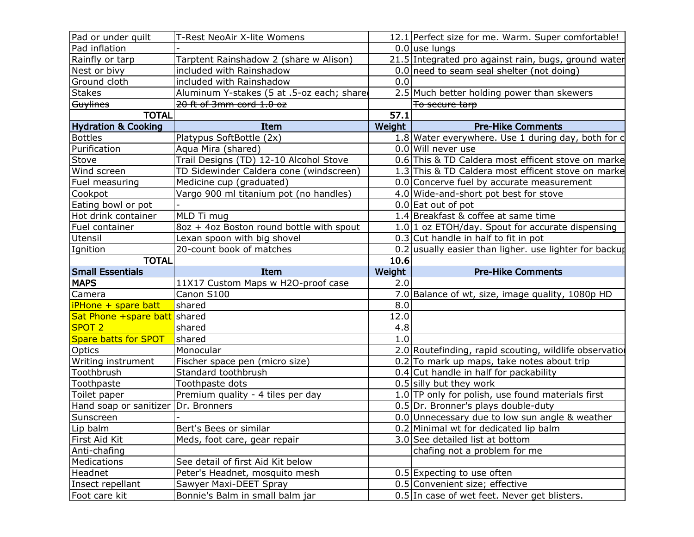| Pad or under quilt                  | T-Rest NeoAir X-lite Womens                |        | 12.1 Perfect size for me. Warm. Super comfortable!       |
|-------------------------------------|--------------------------------------------|--------|----------------------------------------------------------|
| Pad inflation                       |                                            |        | $0.0$ use lungs                                          |
| Rainfly or tarp                     | Tarptent Rainshadow 2 (share w Alison)     |        | 21.5 Integrated pro against rain, bugs, ground water     |
| Nest or bivy                        | included with Rainshadow                   |        | $0.0$ need to seam seal shelter (not doing)              |
| Ground cloth                        | included with Rainshadow                   | 0.0    |                                                          |
| <b>Stakes</b>                       | Aluminum Y-stakes (5 at .5-oz each; shared |        | 2.5 Much better holding power than skewers               |
| Guylines                            | 20 ft of 3mm cord 1.0 oz                   |        | To secure tarp                                           |
| <b>TOTAL</b>                        |                                            | 57.1   |                                                          |
| <b>Hydration &amp; Cooking</b>      | Item                                       | Weight | <b>Pre-Hike Comments</b>                                 |
| <b>Bottles</b>                      | Platypus SoftBottle (2x)                   |        | 1.8 Water everywhere. Use 1 during day, both for c       |
| Purification                        | Aqua Mira (shared)                         |        | 0.0 Will never use                                       |
| Stove                               | Trail Designs (TD) 12-10 Alcohol Stove     |        | 0.6 This & TD Caldera most efficent stove on marke       |
| Wind screen                         | TD Sidewinder Caldera cone (windscreen)    |        | 1.3 This & TD Caldera most efficent stove on marke       |
| Fuel measuring                      | Medicine cup (graduated)                   |        | 0.0 Concerve fuel by accurate measurement                |
| Cookpot                             | Vargo 900 ml titanium pot (no handles)     |        | 4.0 Wide-and-short pot best for stove                    |
| Eating bowl or pot                  |                                            |        | $0.0$ Eat out of pot                                     |
| Hot drink container                 | MLD Ti mug                                 |        | 1.4 Breakfast & coffee at same time                      |
| Fuel container                      | 8oz + 4oz Boston round bottle with spout   |        | $1.0 1$ oz ETOH/day. Spout for accurate dispensing       |
| Utensil                             | Lexan spoon with big shovel                |        | $0.3$ Cut handle in half to fit in pot                   |
| Ignition                            | 20-count book of matches                   |        | $0.2$ usually easier than ligher. use lighter for backup |
| <b>TOTAL</b>                        |                                            | 10.6   |                                                          |
| <b>Small Essentials</b>             | Item                                       | Weight | <b>Pre-Hike Comments</b>                                 |
| <b>MAPS</b>                         |                                            |        |                                                          |
|                                     | 11X17 Custom Maps w H2O-proof case         | 2.0    |                                                          |
| Camera                              | Canon S100                                 |        | 7.0 Balance of wt, size, image quality, 1080p HD         |
| iPHone + spare batt                 | shared                                     | 8.0    |                                                          |
| Sat Phone +spare batt shared        |                                            | 12.0   |                                                          |
| SPOT <sub>2</sub>                   | shared                                     | 4.8    |                                                          |
| <b>Spare batts for SPOT</b>         | shared                                     | 1.0    |                                                          |
| Optics                              | Monocular                                  |        | 2.0 Routefinding, rapid scouting, wildlife observation   |
| Writing instrument                  | Fischer space pen (micro size)             |        | $0.2$ To mark up maps, take notes about trip             |
| Toothbrush                          | Standard toothbrush                        |        | 0.4 Cut handle in half for packability                   |
| Toothpaste                          | Toothpaste dots                            |        | $0.5$ silly but they work                                |
| Toilet paper                        | Premium quality - 4 tiles per day          |        | $1.0$ TP only for polish, use found materials first      |
| Hand soap or sanitizer Dr. Bronners |                                            |        | 0.5 Dr. Bronner's plays double-duty                      |
| Sunscreen                           |                                            |        | 0.0 Unnecessary due to low sun angle & weather           |
| Lip balm                            | Bert's Bees or similar                     |        | 0.2 Minimal wt for dedicated lip balm                    |
| First Aid Kit                       | Meds, foot care, gear repair               |        | 3.0 See detailed list at bottom                          |
| Anti-chafing                        |                                            |        | chafing not a problem for me                             |
| Medications                         | See detail of first Aid Kit below          |        |                                                          |
| Headnet                             | Peter's Headnet, mosquito mesh             |        | 0.5 Expecting to use often                               |
| Insect repellant                    | Sawyer Maxi-DEET Spray                     |        | 0.5 Convenient size; effective                           |